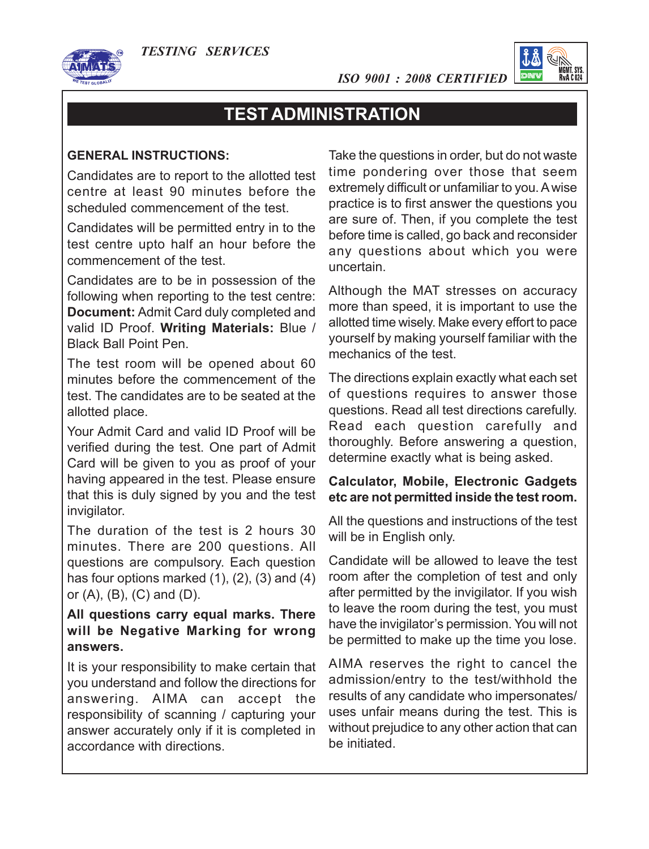*TESTING SERVICES*



*ISO 9001 : 2008 CERTIFIED*



# **TEST ADMINISTRATION**

#### **GENERAL INSTRUCTIONS:**

Candidates are to report to the allotted test centre at least 90 minutes before the scheduled commencement of the test.

Candidates will be permitted entry in to the test centre upto half an hour before the commencement of the test.

Candidates are to be in possession of the following when reporting to the test centre: **Document:** Admit Card duly completed and valid ID Proof. **Writing Materials:** Blue / Black Ball Point Pen.

The test room will be opened about 60 minutes before the commencement of the test. The candidates are to be seated at the allotted place.

Your Admit Card and valid ID Proof will be verified during the test. One part of Admit Card will be given to you as proof of your having appeared in the test. Please ensure that this is duly signed by you and the test invigilator.

The duration of the test is 2 hours 30 minutes. There are 200 questions. All questions are compulsory. Each question has four options marked (1), (2), (3) and (4) or  $(A)$ ,  $(B)$ ,  $(C)$  and  $(D)$ .

## **All questions carry equal marks. There will be Negative Marking for wrong answers.**

It is your responsibility to make certain that you understand and follow the directions for answering. AIMA can accept the responsibility of scanning / capturing your answer accurately only if it is completed in accordance with directions.

Take the questions in order, but do not waste time pondering over those that seem extremely difficult or unfamiliar to you. A wise practice is to first answer the questions you are sure of. Then, if you complete the test before time is called, go back and reconsider any questions about which you were uncertain.

Although the MAT stresses on accuracy more than speed, it is important to use the allotted time wisely. Make every effort to pace yourself by making yourself familiar with the mechanics of the test.

The directions explain exactly what each set of questions requires to answer those questions. Read all test directions carefully. Read each question carefully and thoroughly. Before answering a question, determine exactly what is being asked.

#### **Calculator, Mobile, Electronic Gadgets etc are not permitted inside the test room.**

All the questions and instructions of the test will be in English only.

Candidate will be allowed to leave the test room after the completion of test and only after permitted by the invigilator. If you wish to leave the room during the test, you must have the invigilator's permission. You will not be permitted to make up the time you lose.

AIMA reserves the right to cancel the admission/entry to the test/withhold the results of any candidate who impersonates/ uses unfair means during the test. This is without prejudice to any other action that can be initiated.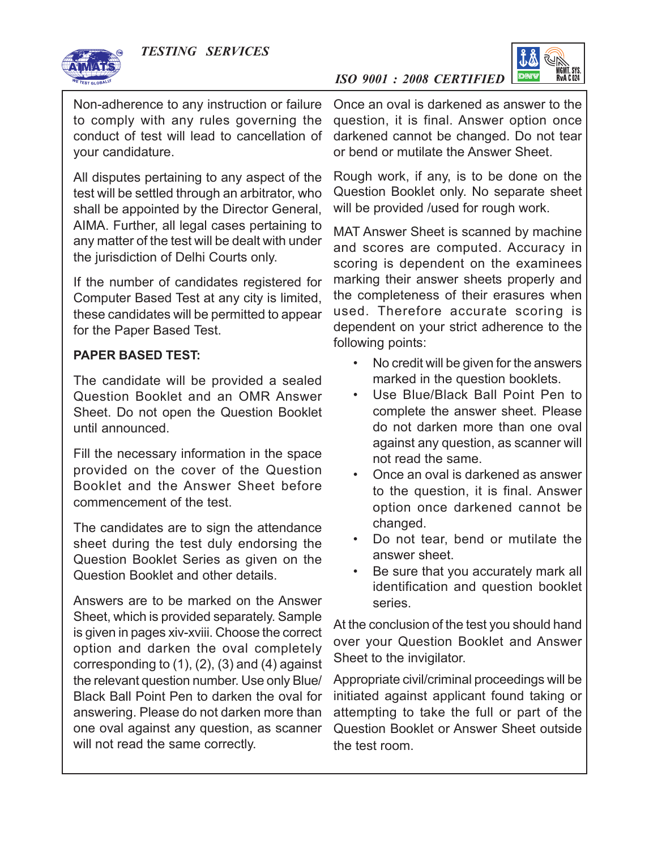

*ISO 9001 : 2008 CERTIFIED*



Non-adherence to any instruction or failure to comply with any rules governing the conduct of test will lead to cancellation of your candidature.

All disputes pertaining to any aspect of the test will be settled through an arbitrator, who shall be appointed by the Director General, AIMA. Further, all legal cases pertaining to any matter of the test will be dealt with under the jurisdiction of Delhi Courts only.

If the number of candidates registered for Computer Based Test at any city is limited, these candidates will be permitted to appear for the Paper Based Test.

### **PAPER BASED TEST:**

The candidate will be provided a sealed Question Booklet and an OMR Answer Sheet. Do not open the Question Booklet until announced.

Fill the necessary information in the space provided on the cover of the Question Booklet and the Answer Sheet before commencement of the test.

The candidates are to sign the attendance sheet during the test duly endorsing the Question Booklet Series as given on the Question Booklet and other details.

Answers are to be marked on the Answer Sheet, which is provided separately. Sample is given in pages xiv-xviii. Choose the correct option and darken the oval completely corresponding to  $(1)$ ,  $(2)$ ,  $(3)$  and  $(4)$  against the relevant question number. Use only Blue/ Black Ball Point Pen to darken the oval for answering. Please do not darken more than one oval against any question, as scanner will not read the same correctly.

Once an oval is darkened as answer to the question, it is final. Answer option once darkened cannot be changed. Do not tear or bend or mutilate the Answer Sheet.

Rough work, if any, is to be done on the Question Booklet only. No separate sheet will be provided /used for rough work.

MAT Answer Sheet is scanned by machine and scores are computed. Accuracy in scoring is dependent on the examinees marking their answer sheets properly and the completeness of their erasures when used. Therefore accurate scoring is dependent on your strict adherence to the following points:

- No credit will be given for the answers marked in the question booklets.
- Use Blue/Black Ball Point Pen to complete the answer sheet. Please do not darken more than one oval against any question, as scanner will not read the same.
- Once an oval is darkened as answer to the question, it is final. Answer option once darkened cannot be changed.
- Do not tear, bend or mutilate the answer sheet.
- Be sure that you accurately mark all identification and question booklet series.

At the conclusion of the test you should hand over your Question Booklet and Answer Sheet to the invigilator.

Appropriate civil/criminal proceedings will be initiated against applicant found taking or attempting to take the full or part of the Question Booklet or Answer Sheet outside the test room.